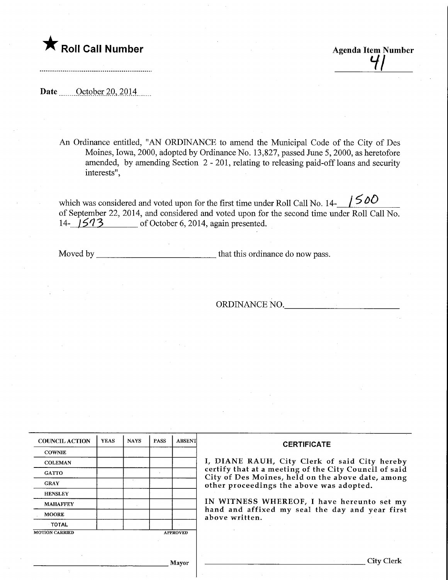## **The Soli Call Number Agenda Item Number Agenda Item Number**

Date <u>October 20, 2014</u>

An Ordinance entitled, "AN ORDINANCE to amend the Municipal Code of the City of Des Moines, Iowa, 2000, adopted by Ordinance No. 13,827, passed June 5,2000, as heretofore amended, by amending Section 2-201, relating to releasing paid-off loans and security interests",

 $1500$ which was considered and voted upon for the first time under Roll Call No. 14of September 22, 2014, and considered and voted upon for the second time under Roll Call No. 14- $\sqrt{573}$  of October 6, 2014, again presented.

Moved by that this ordinance do now pass.

ORDINANCE NO.

| <b>COUNCIL ACTION</b> | <b>YEAS</b> | <b>NAYS</b> | <b>PASS</b> | <b>ABSENT</b>   | <b>CERTIFICATE</b>                                                                                         |  |  |
|-----------------------|-------------|-------------|-------------|-----------------|------------------------------------------------------------------------------------------------------------|--|--|
| <b>COWNIE</b>         |             |             |             |                 |                                                                                                            |  |  |
| <b>COLEMAN</b>        |             |             |             |                 | I, DIANE RAUH, City Clerk of said City hereby                                                              |  |  |
| <b>GATTO</b>          |             |             |             |                 | certify that at a meeting of the City Council of said<br>City of Des Moines, held on the above date, among |  |  |
| <b>GRAY</b>           |             |             |             |                 | other proceedings the above was adopted.                                                                   |  |  |
| <b>HENSLEY</b>        |             |             |             |                 |                                                                                                            |  |  |
| <b>MAHAFFEY</b>       |             |             |             |                 | IN WITNESS WHEREOF, I have hereunto set my                                                                 |  |  |
| <b>MOORE</b>          |             |             |             |                 | hand and affixed my seal the day and year first<br>above written.                                          |  |  |
| <b>TOTAL</b>          |             |             |             |                 |                                                                                                            |  |  |
| <b>MOTION CARRIED</b> |             |             |             | <b>APPROVED</b> |                                                                                                            |  |  |

Mayor

City Clerk